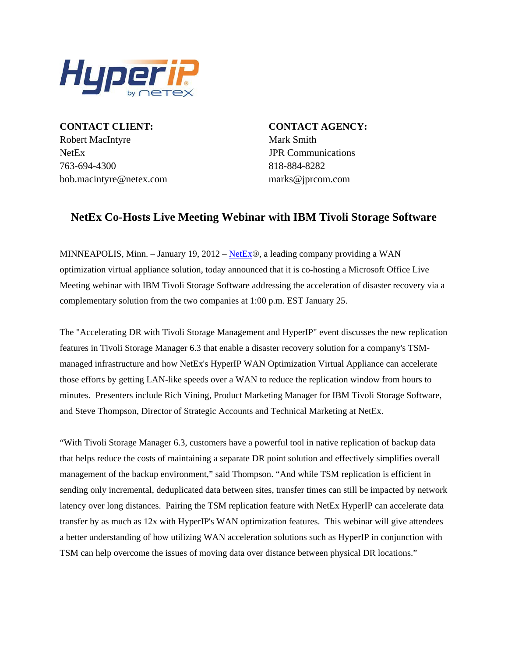

**CONTACT CLIENT: CONTACT AGENCY:** Robert MacIntyre Mark Smith NetEx JPR Communications 763-694-4300 818-884-8282 bob.macintyre@netex.com marks@jprcom.com

## **NetEx Co-Hosts Live Meeting Webinar with IBM Tivoli Storage Software**

MINNEAPOLIS, Minn. – January 19, 2012 – [NetEx](http://www.netex.com/)®, a leading company providing a WAN optimization virtual appliance solution, today announced that it is co-hosting a Microsoft Office Live Meeting webinar with IBM Tivoli Storage Software addressing the acceleration of disaster recovery via a complementary solution from the two companies at 1:00 p.m. EST January 25.

The "Accelerating DR with Tivoli Storage Management and HyperIP" event discusses the new replication features in Tivoli Storage Manager 6.3 that enable a disaster recovery solution for a company's TSMmanaged infrastructure and how NetEx's HyperIP WAN Optimization Virtual Appliance can accelerate those efforts by getting LAN-like speeds over a WAN to reduce the replication window from hours to minutes. Presenters include Rich Vining, Product Marketing Manager for IBM Tivoli Storage Software, and Steve Thompson, Director of Strategic Accounts and Technical Marketing at NetEx.

"With Tivoli Storage Manager 6.3, customers have a powerful tool in native replication of backup data that helps reduce the costs of maintaining a separate DR point solution and effectively simplifies overall management of the backup environment," said Thompson. "And while TSM replication is efficient in sending only incremental, deduplicated data between sites, transfer times can still be impacted by network latency over long distances. Pairing the TSM replication feature with NetEx HyperIP can accelerate data transfer by as much as 12x with HyperIP's WAN optimization features. This webinar will give attendees a better understanding of how utilizing WAN acceleration solutions such as HyperIP in conjunction with TSM can help overcome the issues of moving data over distance between physical DR locations."